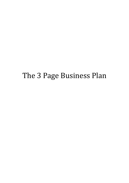# The 3 Page Business Plan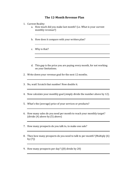### **The 12-Month Revenue Plan**

- 1. Current Reality:
	- a. How much did you make last month? (i.e. What is your current monthly revenue?)
	- b. How does it compare with your written plan?
	- c. Why is that?
	- d. This gap is the price you are paying every month, for not working on your limitations.
- 2. Write down your revenue goal for the next 12 months.
- 3. No, wait! Scratch that number! Now double it.
- 4. Now calculate your monthly goal (simply divide the number above by 12).
- 5. What's the (average) price of your services or products?
- 6. How many sales do you need per month to reach your monthly target?  $\left(\text{divide (4) above by (5) above}\right)$
- 7. How many prospects do you talk to, to make one sale?
- 8. Then how many prospects do you need to talk to per month? (Multiply (6) by  $(7)$
- 9. How many prospects per day?  $(8)$  divide by 20)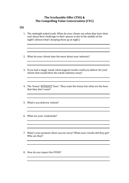#### The Irrefusable Offer (TIO) & The Compelling Value Conversation (CVC)

#### **TIO**

- 1. The midnight naked truth: What do your clients say when they bare their soul about their challenge to their spouse in the in the middle of the night? (About what's keeping them up at night.)
- 2. What do your clients hate the most about your industry?
- 3. If you had a magic wand, what magical results could you deliver for your clients that would blow the whole industry away?
- 4. The 'honey' WITHOUT 'bees': They want the honey but what are the bees that they don't want?

- 5. What's you delivery vehicle?
- 6. What are your credentials?
- 7. What's your greatest client success story? What exact results did they get? Who are they?
- 8. How do you impact the FFISH?